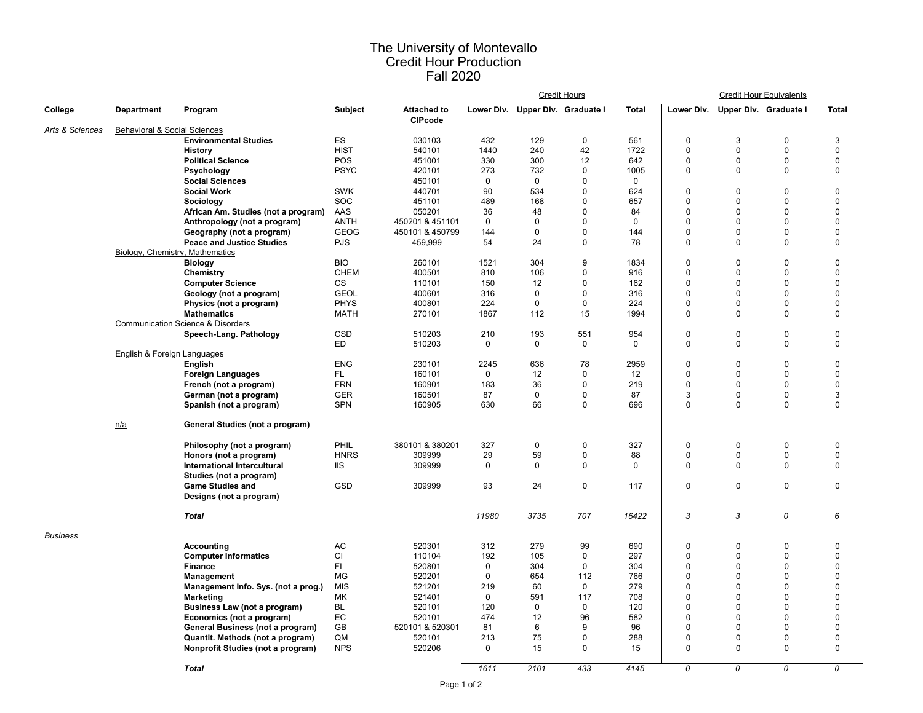## The University of Montevallo Credit Hour Production Fall 2020

|                 |                                 |                                              |             |                                      | <b>Credit Hours</b> |                                  |             |              |             | <b>Credit Hour Equivalents</b>   |             |             |
|-----------------|---------------------------------|----------------------------------------------|-------------|--------------------------------------|---------------------|----------------------------------|-------------|--------------|-------------|----------------------------------|-------------|-------------|
| College         | Department                      | Program                                      | Subject     | <b>Attached to</b><br><b>CIPcode</b> |                     | Lower Div. Upper Div. Graduate I |             | <b>Total</b> |             | Lower Div. Upper Div. Graduate I |             | Total       |
| Arts & Sciences | Behavioral & Social Sciences    |                                              |             |                                      |                     |                                  |             |              |             |                                  |             |             |
|                 |                                 | <b>Environmental Studies</b>                 | ES          | 030103                               | 432                 | 129                              | 0           | 561          | 0           | 3                                | $\mathbf 0$ | 3           |
|                 |                                 | <b>History</b>                               | <b>HIST</b> | 540101                               | 1440                | 240                              | 42          | 1722         | $\mathbf 0$ | $\Omega$                         | $\mathbf 0$ | $\Omega$    |
|                 |                                 | <b>Political Science</b>                     | POS         | 451001                               | 330                 | 300                              | 12          | 642          | 0           | 0                                | $\mathbf 0$ | $\mathbf 0$ |
|                 |                                 | Psychology                                   | <b>PSYC</b> | 420101                               | 273                 | 732                              | $\mathbf 0$ | 1005         | 0           | $\Omega$                         | $\mathbf 0$ | $\mathbf 0$ |
|                 |                                 | <b>Social Sciences</b>                       |             | 450101                               | $\mathbf 0$         | 0                                | $\mathbf 0$ | $\mathbf 0$  |             |                                  |             |             |
|                 |                                 | <b>Social Work</b>                           | SWK         | 440701                               | 90                  | 534                              | $\mathbf 0$ | 624          | 0           | $\mathbf 0$                      | $\mathbf 0$ | $\mathbf 0$ |
|                 |                                 | Sociology                                    | SOC         | 451101                               | 489                 | 168                              | $\Omega$    | 657          | 0           | $\Omega$                         | $\Omega$    | $\Omega$    |
|                 |                                 | African Am. Studies (not a program)          | AAS         | 050201                               | 36                  | 48                               | $\mathbf 0$ | 84           | 0           | $\mathbf 0$                      | $\mathbf 0$ | $\mathbf 0$ |
|                 |                                 |                                              | <b>ANTH</b> | 450201 & 451101                      | $\mathbf 0$         | $\Omega$                         | $\Omega$    | $\Omega$     | $\Omega$    | $\Omega$                         | $\mathbf 0$ | $\Omega$    |
|                 |                                 | Anthropology (not a program)                 | <b>GEOG</b> |                                      |                     | $\mathbf 0$                      |             |              | 0           |                                  | $\mathbf 0$ | $\mathbf 0$ |
|                 |                                 | Geography (not a program)                    |             | 450101 & 450799                      | 144                 | 24                               | $\mathbf 0$ | 144          |             | $\mathbf 0$                      |             | $\Omega$    |
|                 |                                 | <b>Peace and Justice Studies</b>             | <b>PJS</b>  | 459,999                              | 54                  |                                  | 0           | 78           | 0           | $\Omega$                         | $\mathbf 0$ |             |
|                 | Biology, Chemistry, Mathematics |                                              |             |                                      |                     |                                  |             |              |             |                                  |             |             |
|                 |                                 | <b>Biology</b>                               | <b>BIO</b>  | 260101                               | 1521                | 304                              | 9           | 1834         | 0           | $\mathbf 0$                      | $\mathbf 0$ | $\mathbf 0$ |
|                 |                                 | Chemistry                                    | <b>CHEM</b> | 400501                               | 810                 | 106                              | $\Omega$    | 916          | 0           | $\Omega$                         | $\mathbf 0$ | $\Omega$    |
|                 |                                 | <b>Computer Science</b>                      | <b>CS</b>   | 110101                               | 150                 | 12                               | $\Omega$    | 162          | 0           | $\Omega$                         | $\mathbf 0$ | $\Omega$    |
|                 |                                 | Geology (not a program)                      | <b>GEOL</b> | 400601                               | 316                 | 0                                | $\Omega$    | 316          | 0           | $\Omega$                         | $\mathbf 0$ | $\Omega$    |
|                 |                                 | Physics (not a program)                      | <b>PHYS</b> | 400801                               | 224                 | $\mathbf 0$                      | $\mathbf 0$ | 224          | 0           | $\mathbf 0$                      | $\mathbf 0$ | $\mathbf 0$ |
|                 |                                 | <b>Mathematics</b>                           | <b>MATH</b> | 270101                               | 1867                | 112                              | 15          | 1994         | 0           | $\Omega$                         | $\mathbf 0$ | $\mathbf 0$ |
|                 |                                 | <b>Communication Science &amp; Disorders</b> |             |                                      |                     |                                  |             |              |             |                                  |             |             |
|                 |                                 | Speech-Lang. Pathology                       | <b>CSD</b>  | 510203                               | 210                 | 193                              | 551         | 954          | 0           | $\mathbf 0$                      | $\mathbf 0$ | $\mathbf 0$ |
|                 |                                 |                                              | ED          | 510203                               | 0                   | 0                                | 0           | 0            | 0           | $\mathbf 0$                      | $\mathbf 0$ | 0           |
|                 | English & Foreign Languages     |                                              |             |                                      |                     |                                  |             |              |             |                                  |             |             |
|                 |                                 | English                                      | <b>ENG</b>  | 230101                               | 2245                | 636                              | 78          | 2959         | 0           | $\Omega$                         | $\mathbf 0$ | $\pmb{0}$   |
|                 |                                 | <b>Foreign Languages</b>                     | FL.         | 160101                               | $\mathbf 0$         | 12                               | $\mathbf 0$ | 12           | 0           | $\mathbf 0$                      | $\mathbf 0$ | $\mathbf 0$ |
|                 |                                 | French (not a program)                       | <b>FRN</b>  | 160901                               | 183                 | 36                               | $\Omega$    | 219          | 0           | $\Omega$                         | $\mathbf 0$ | $\mathbf 0$ |
|                 |                                 | German (not a program)                       | <b>GER</b>  | 160501                               | 87                  | 0                                | 0           | 87           | 3           | 0                                | $\mathbf 0$ | 3           |
|                 |                                 | Spanish (not a program)                      | SPN         | 160905                               | 630                 | 66                               | $\mathbf 0$ | 696          | 0           | $\mathbf 0$                      | $\mathbf 0$ | $\mathbf 0$ |
|                 | n/a                             | General Studies (not a program)              |             |                                      |                     |                                  |             |              |             |                                  |             |             |
|                 |                                 |                                              | PHIL        | 380101 & 380201                      | 327                 | 0                                | 0           | 327          | 0           | 0                                | $\mathbf 0$ | 0           |
|                 |                                 | Philosophy (not a program)                   | <b>HNRS</b> | 309999                               | 29                  | 59                               | $\mathbf 0$ | 88           | 0           | $\mathbf 0$                      | $\mathbf 0$ | $\mathbf 0$ |
|                 |                                 | Honors (not a program)                       | <b>IIS</b>  | 309999                               | $\mathbf 0$         | $\mathbf 0$                      | $\mathbf 0$ | 0            | 0           | $\mathbf 0$                      | $\mathbf 0$ | $\pmb{0}$   |
|                 |                                 | <b>International Intercultural</b>           |             |                                      |                     |                                  |             |              |             |                                  |             |             |
|                 |                                 | Studies (not a program)                      | GSD         | 309999                               | 93                  | 24                               | $\pmb{0}$   | 117          | 0           | $\pmb{0}$                        | $\mathbf 0$ | 0           |
|                 |                                 | <b>Game Studies and</b>                      |             |                                      |                     |                                  |             |              |             |                                  |             |             |
|                 |                                 | Designs (not a program)                      |             |                                      |                     |                                  |             |              |             |                                  |             |             |
|                 |                                 | <b>Total</b>                                 |             |                                      | 11980               | 3735                             | 707         | 16422        | 3           | 3                                | 0           | 6           |
| Business        |                                 |                                              |             |                                      |                     |                                  |             |              |             |                                  |             |             |
|                 |                                 | Accounting                                   | AC          | 520301                               | 312                 | 279                              | 99          | 690          | 0           | $\mathbf 0$                      | $\mathbf 0$ | $\mathbf 0$ |
|                 |                                 | <b>Computer Informatics</b>                  | CI          | 110104                               | 192                 | 105                              | $\Omega$    | 297          | 0           | $\Omega$                         | $\mathbf 0$ | $\Omega$    |
|                 |                                 | Finance                                      | FI.         | 520801                               | 0                   | 304                              | $\mathbf 0$ | 304          | 0           | $\mathbf 0$                      | $\mathbf 0$ | $\mathbf 0$ |
|                 |                                 | Management                                   | <b>MG</b>   | 520201                               | $\mathbf 0$         | 654                              | 112         | 766          | 0           | $\Omega$                         | $\mathbf 0$ | $\Omega$    |
|                 |                                 | Management Info. Sys. (not a prog.)          | <b>MIS</b>  | 521201                               | 219                 | 60                               | $\mathbf 0$ | 279          | 0           | $\mathbf 0$                      | $\mathbf 0$ | $\mathbf 0$ |
|                 |                                 | <b>Marketing</b>                             | МK          | 521401                               | $\mathbf 0$         | 591                              | 117         | 708          | $\Omega$    | $\Omega$                         | $\mathbf 0$ | $\Omega$    |
|                 |                                 | Business Law (not a program)                 | <b>BL</b>   | 520101                               | 120                 | 0                                | 0           | 120          | 0           | $\mathbf 0$                      | $\mathbf 0$ | $\mathbf 0$ |
|                 |                                 | Economics (not a program)                    | EC          | 520101                               | 474                 | 12                               | 96          | 582          | 0           | $\mathbf 0$                      | $\mathbf 0$ | $\mathbf 0$ |
|                 |                                 | General Business (not a program)             | GB          | 520101 & 520301                      | 81                  | 6                                | 9           | 96           | $\Omega$    | $\Omega$                         | $\mathbf 0$ | $\Omega$    |
|                 |                                 | Quantit. Methods (not a program)             | QM          | 520101                               | 213                 | 75                               | $\mathbf 0$ | 288          | 0           | $\mathbf 0$                      | $\mathbf 0$ | $\mathbf 0$ |
|                 |                                 | Nonprofit Studies (not a program)            | <b>NPS</b>  | 520206                               | $\mathbf 0$         | 15                               | $\Omega$    | 15           | 0           | $\Omega$                         | $\Omega$    | $\mathbf 0$ |
|                 |                                 |                                              |             |                                      |                     |                                  |             |              |             |                                  |             |             |
|                 |                                 | <b>Total</b>                                 |             |                                      | 1611                | 2101                             | 433         | 4145         | 0           | 0                                | 0           | 0           |